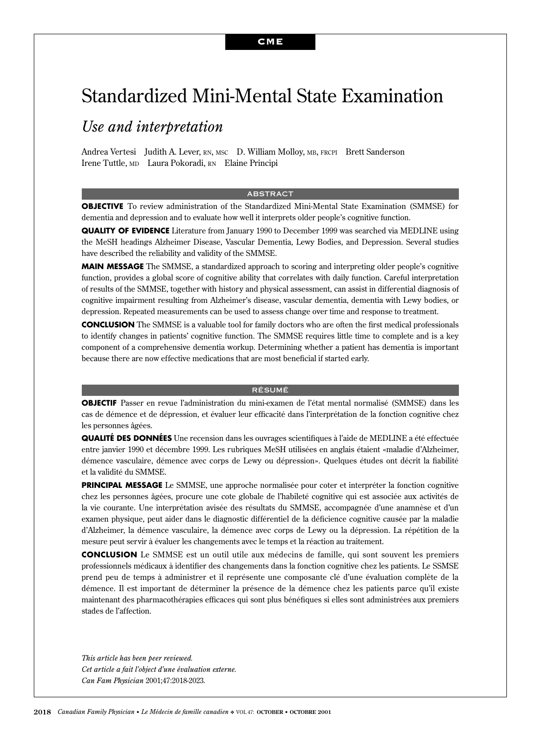# Standardized Mini-Mental State Examination

# *Use and interpretation*

Andrea Vertesi Judith A. Lever, RN, MSC D. William Molloy, MB, FRCPI Brett Sanderson Irene Tuttle, MD Laura Pokoradi, RN Elaine Principi

#### ABSTRACT

**OBJECTIVE** To review administration of the Standardized Mini-Mental State Examination (SMMSE) for dementia and depression and to evaluate how well it interprets older people's cognitive function.

**QUALITY OF EVIDENCE** Literature from January 1990 to December 1999 was searched via MEDLINE using the MeSH headings Alzheimer Disease, Vascular Dementia, Lewy Bodies, and Depression. Several studies have described the reliability and validity of the SMMSE.

**MAIN MESSAGE** The SMMSE, a standardized approach to scoring and interpreting older people's cognitive function, provides a global score of cognitive ability that correlates with daily function. Careful interpretation of results of the SMMSE, together with history and physical assessment, can assist in differential diagnosis of cognitive impairment resulting from Alzheimer's disease, vascular dementia, dementia with Lewy bodies, or depression. Repeated measurements can be used to assess change over time and response to treatment.

**CONCLUSION** The SMMSE is a valuable tool for family doctors who are often the first medical professionals to identify changes in patients' cognitive function. The SMMSE requires little time to complete and is a key component of a comprehensive dementia workup. Determining whether a patient has dementia is important because there are now effective medications that are most beneficial if started early.

#### RÉSUMÉ

**OBJECTIF** Passer en revue l'administration du mini-examen de l'état mental normalisé (SMMSE) dans les cas de démence et de dépression, et évaluer leur efficacité dans l'interprétation de la fonction cognitive chez les personnes âgées.

**QUALITÉ DES DONNÉES** Une recension dans les ouvrages scientifiques à l'aide de MEDLINE a été effectuée entre janvier 1990 et décembre 1999. Les rubriques MeSH utilisées en anglais étaient «maladie d'Alzheimer, démence vasculaire, démence avec corps de Lewy ou dépression». Quelques études ont décrit la fiabilité et la validité du SMMSE.

**PRINCIPAL MESSAGE** Le SMMSE, une approche normalisée pour coter et interpréter la fonction cognitive chez les personnes âgées, procure une cote globale de l'habileté cognitive qui est associée aux activités de la vie courante. Une interprétation avisée des résultats du SMMSE, accompagnée d'une anamnèse et d'un examen physique, peut aider dans le diagnostic différentiel de la déficience cognitive causée par la maladie d'Alzheimer, la démence vasculaire, la démence avec corps de Lewy ou la dépression. La répétition de la mesure peut servir à évaluer les changements avec le temps et la réaction au traitement.

**CONCLUSION** Le SMMSE est un outil utile aux médecins de famille, qui sont souvent les premiers professionnels médicaux à identifier des changements dans la fonction cognitive chez les patients. Le SSMSE prend peu de temps à administrer et il représente une composante clé d'une évaluation complète de la démence. Il est important de déterminer la présence de la démence chez les patients parce qu'il existe maintenant des pharmacothérapies efficaces qui sont plus bénéfiques si elles sont administrées aux premiers stades de l'affection.

*This article has been peer reviewed. Cet article a fait l'object d'une évaluation externe. Can Fam Physician* 2001;47:2018-2023*.*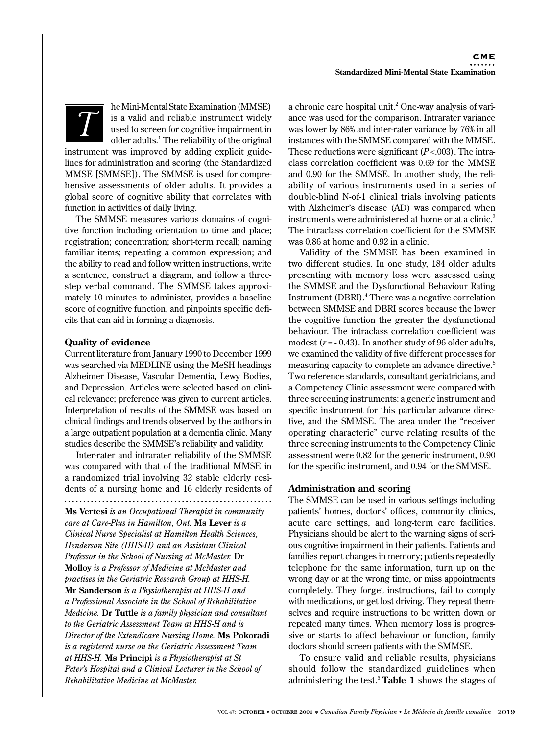

**T** he Mini-Mental State Examination (MMSE) is a valid and reliable instrument widely used to screen for cognitive impairment in older adults <sup>1</sup> The reliability of the original is a valid and reliable instrument widely used to screen for cognitive impairment in older adults.<sup>1</sup> The reliability of the original

instrument was improved by adding explicit guidelines for administration and scoring (the Standardized MMSE [SMMSE]). The SMMSE is used for comprehensive assessments of older adults. It provides a global score of cognitive ability that correlates with function in activities of daily living.

The SMMSE measures various domains of cognitive function including orientation to time and place; registration; concentration; short-term recall; naming familiar items; repeating a common expression; and the ability to read and follow written instructions, write a sentence, construct a diagram, and follow a threestep verbal command. The SMMSE takes approximately 10 minutes to administer, provides a baseline score of cognitive function, and pinpoints specific deficits that can aid in forming a diagnosis.

# **Quality of evidence**

Current literature from January 1990 to December 1999 was searched via MEDLINE using the MeSH headings Alzheimer Disease, Vascular Dementia, Lewy Bodies, and Depression. Articles were selected based on clinical relevance; preference was given to current articles. Interpretation of results of the SMMSE was based on clinical findings and trends observed by the authors in a large outpatient population at a dementia clinic. Many studies describe the SMMSE's reliability and validity.

Inter-rater and intrarater reliability of the SMMSE was compared with that of the traditional MMSE in a randomized trial involving 32 stable elderly residents of a nursing home and 16 elderly residents of 

**Ms Vertesi** *is an Occupational Therapist in community care at Care-Plus in Hamilton, Ont.* **Ms Lever** *is a Clinical Nurse Specialist at Hamilton Health Sciences, Henderson Site (HHS-H) and an Assistant Clinical Professor in the School of Nursing at McMaster.* **Dr Molloy** *is a Professor of Medicine at McMaster and practises in the Geriatric Research Group at HHS-H.*  **Mr Sanderson** *is a Physiotherapist at HHS-H and a Professional Associate in the School of Rehabilitative Medicine.* **Dr Tuttle** *is a family physician and consultant to the Geriatric Assessment Team at HHS-H and is Director of the Extendicare Nursing Home.* **Ms Pokoradi** *is a registered nurse on the Geriatric Assessment Team at HHS-H.* **Ms Principi** *is a Physiotherapist at St Peter's Hospital and a Clinical Lecturer in the School of Rehabilitative Medicine at McMaster.*

a chronic care hospital unit.<sup>2</sup> One-way analysis of variance was used for the comparison. Intrarater variance was lower by 86% and inter-rater variance by 76% in all instances with the SMMSE compared with the MMSE. These reductions were significant (*P* <.003). The intraclass correlation coefficient was 0.69 for the MMSE and 0.90 for the SMMSE. In another study, the reliability of various instruments used in a series of double-blind N-of-1 clinical trials involving patients with Alzheimer's disease (AD) was compared when instruments were administered at home or at a clinic.<sup>3</sup> The intraclass correlation coefficient for the SMMSE was 0.86 at home and 0.92 in a clinic.

Validity of the SMMSE has been examined in two different studies. In one study, 184 older adults presenting with memory loss were assessed using the SMMSE and the Dysfunctional Behaviour Rating Instrument (DBRI).4 There was a negative correlation between SMMSE and DBRI scores because the lower the cognitive function the greater the dysfunctional behaviour. The intraclass correlation coefficient was modest  $(r = -0.43)$ . In another study of 96 older adults, we examined the validity of five different processes for measuring capacity to complete an advance directive.<sup>5</sup> Two reference standards, consultant geriatricians, and a Competency Clinic assessment were compared with three screening instruments: a generic instrument and specific instrument for this particular advance directive, and the SMMSE. The area under the "receiver operating characteric" curve relating results of the three screening instruments to the Competency Clinic assessment were 0.82 for the generic instrument, 0.90 for the specific instrument, and 0.94 for the SMMSE.

# **Administration and scoring**

The SMMSE can be used in various settings including patients' homes, doctors' offices, community clinics, acute care settings, and long-term care facilities. Physicians should be alert to the warning signs of serious cognitive impairment in their patients. Patients and families report changes in memory; patients repeatedly telephone for the same information, turn up on the wrong day or at the wrong time, or miss appointments completely. They forget instructions, fail to comply with medications, or get lost driving. They repeat themselves and require instructions to be written down or repeated many times. When memory loss is progressive or starts to affect behaviour or function, family doctors should screen patients with the SMMSE.

To ensure valid and reliable results, physicians should follow the standardized guidelines when administering the test.6 **Table 1** shows the stages of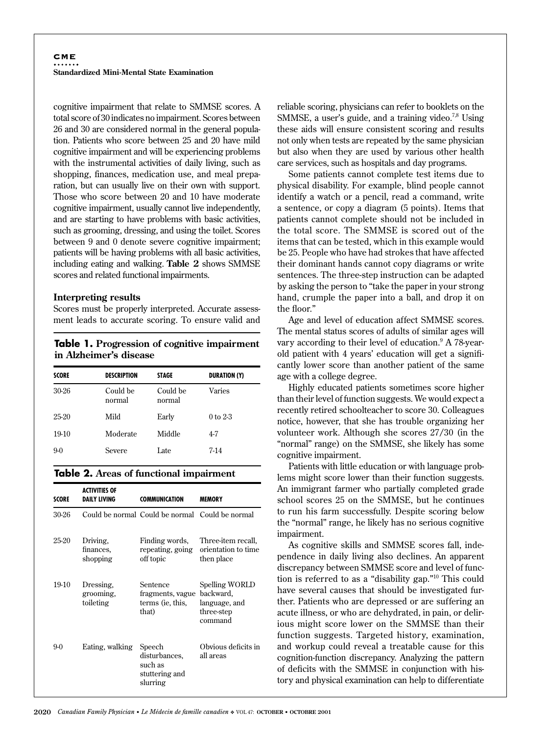cognitive impairment that relate to SMMSE scores. A total score of 30 indicates no impairment. Scores between 26 and 30 are considered normal in the general population. Patients who score between 25 and 20 have mild cognitive impairment and will be experiencing problems with the instrumental activities of daily living, such as shopping, finances, medication use, and meal preparation, but can usually live on their own with support. Those who score between 20 and 10 have moderate cognitive impairment, usually cannot live independently, and are starting to have problems with basic activities, such as grooming, dressing, and using the toilet. Scores between 9 and 0 denote severe cognitive impairment; patients will be having problems with all basic activities, including eating and walking. **Table 2** shows SMMSE scores and related functional impairments.

### **Interpreting results**

Scores must be properly interpreted. Accurate assessment leads to accurate scoring. To ensure valid and

# **Table 1. Progression of cognitive impairment in Alzheimer's disease**

| <b>SCORE</b> | <b>DESCRIPTION</b> | <b>STAGE</b>       | <b>DURATION (Y)</b> |
|--------------|--------------------|--------------------|---------------------|
| 30-26        | Could be<br>normal | Could be<br>normal | Varies              |
| 25-20        | Mild               | Early              | $0$ to $2-3$        |
| $19-10$      | Moderate           | Middle             | 4-7                 |
| $9-0$        | Severe             | Late               | $7-14$              |

### **Table 2. Areas of functional impairment**

| SCORE   | <b>ACTIVITIES OF</b><br><b>DAILY LIVING</b> | <b>COMMUNICATION</b>                                                | <b>MEMORY</b>                                            |
|---------|---------------------------------------------|---------------------------------------------------------------------|----------------------------------------------------------|
| 30-26   |                                             | Could be normal Could be normal Could be normal                     |                                                          |
| 25-20   | Driving.<br>finances.<br>shopping           | Finding words,<br>repeating, going<br>off topic                     | Three-item recall,<br>orientation to time<br>then place  |
| $19-10$ | Dressing.<br>grooming,<br>toileting         | Sentence<br>fragments, vague backward,<br>terms (ie, this,<br>that) | Spelling WORLD<br>language, and<br>three-step<br>command |
| $9-0$   | Eating, walking                             | Speech<br>disturbances,<br>such as<br>stuttering and<br>slurring    | Obvious deficits in<br>all areas                         |

reliable scoring, physicians can refer to booklets on the SMMSE, a user's guide, and a training video.<sup>7,8</sup> Using these aids will ensure consistent scoring and results not only when tests are repeated by the same physician but also when they are used by various other health care services, such as hospitals and day programs.

Some patients cannot complete test items due to physical disability. For example, blind people cannot identify a watch or a pencil, read a command, write a sentence, or copy a diagram (5 points). Items that patients cannot complete should not be included in the total score. The SMMSE is scored out of the items that can be tested, which in this example would be 25. People who have had strokes that have affected their dominant hands cannot copy diagrams or write sentences. The three-step instruction can be adapted by asking the person to "take the paper in your strong hand, crumple the paper into a ball, and drop it on the floor."

Age and level of education affect SMMSE scores. The mental status scores of adults of similar ages will vary according to their level of education.<sup>9</sup> A 78-yearold patient with 4 years' education will get a significantly lower score than another patient of the same age with a college degree.

Highly educated patients sometimes score higher than their level of function suggests. We would expect a recently retired schoolteacher to score 30. Colleagues notice, however, that she has trouble organizing her volunteer work. Although she scores 27/30 (in the "normal" range) on the SMMSE, she likely has some cognitive impairment.

Patients with little education or with language problems might score lower than their function suggests. An immigrant farmer who partially completed grade school scores 25 on the SMMSE, but he continues to run his farm successfully. Despite scoring below the "normal" range, he likely has no serious cognitive impairment.

As cognitive skills and SMMSE scores fall, independence in daily living also declines. An apparent discrepancy between SMMSE score and level of function is referred to as a "disability gap."10 This could have several causes that should be investigated further. Patients who are depressed or are suffering an acute illness, or who are dehydrated, in pain, or delirious might score lower on the SMMSE than their function suggests. Targeted history, examination, and workup could reveal a treatable cause for this cognition-function discrepancy. Analyzing the pattern of deficits with the SMMSE in conjunction with history and physical examination can help to differentiate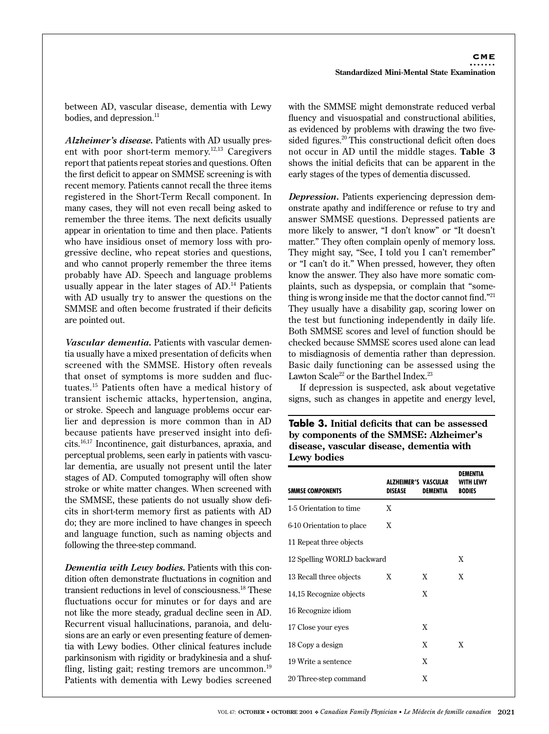between AD, vascular disease, dementia with Lewy bodies, and depression.<sup>11</sup>

*Alzheimer's disease.* Patients with AD usually present with poor short-term memory.<sup>12,13</sup> Caregivers report that patients repeat stories and questions. Often the first deficit to appear on SMMSE screening is with recent memory. Patients cannot recall the three items registered in the Short-Term Recall component. In many cases, they will not even recall being asked to remember the three items. The next deficits usually appear in orientation to time and then place. Patients who have insidious onset of memory loss with progressive decline, who repeat stories and questions, and who cannot properly remember the three items probably have AD. Speech and language problems usually appear in the later stages of AD.<sup>14</sup> Patients with AD usually try to answer the questions on the SMMSE and often become frustrated if their deficits are pointed out.

*Vascular dementia.* Patients with vascular dementia usually have a mixed presentation of deficits when screened with the SMMSE. History often reveals that onset of symptoms is more sudden and fluctuates.15 Patients often have a medical history of transient ischemic attacks, hypertension, angina, or stroke. Speech and language problems occur earlier and depression is more common than in AD because patients have preserved insight into deficits.16,17 Incontinence, gait disturbances, apraxia, and perceptual problems, seen early in patients with vascular dementia, are usually not present until the later stages of AD. Computed tomography will often show stroke or white matter changes. When screened with the SMMSE, these patients do not usually show deficits in short-term memory first as patients with AD do; they are more inclined to have changes in speech and language function, such as naming objects and following the three-step command.

*Dementia with Lewy bodies.* Patients with this condition often demonstrate fluctuations in cognition and transient reductions in level of consciousness.18 These fluctuations occur for minutes or for days and are not like the more steady, gradual decline seen in AD. Recurrent visual hallucinations, paranoia, and delusions are an early or even presenting feature of dementia with Lewy bodies. Other clinical features include parkinsonism with rigidity or bradykinesia and a shuffling, listing gait; resting tremors are uncommon.<sup>19</sup> Patients with dementia with Lewy bodies screened

with the SMMSE might demonstrate reduced verbal fluency and visuospatial and constructional abilities, as evidenced by problems with drawing the two fivesided figures.<sup>20</sup> This constructional deficit often does not occur in AD until the middle stages. **Table 3** shows the initial deficits that can be apparent in the early stages of the types of dementia discussed.

*Depression.* Patients experiencing depression demonstrate apathy and indifference or refuse to try and answer SMMSE questions. Depressed patients are more likely to answer, "I don't know" or "It doesn't matter." They often complain openly of memory loss. They might say, "See, I told you I can't remember" or "I can't do it." When pressed, however, they often know the answer. They also have more somatic complaints, such as dyspepsia, or complain that "something is wrong inside me that the doctor cannot find."21 They usually have a disability gap, scoring lower on the test but functioning independently in daily life. Both SMMSE scores and level of function should be checked because SMMSE scores used alone can lead to misdiagnosis of dementia rather than depression. Basic daily functioning can be assessed using the Lawton Scale<sup>22</sup> or the Barthel Index.<sup>23</sup>

If depression is suspected, ask about vegetative signs, such as changes in appetite and energy level,

**Table 3. Initial deficits that can be assessed by components of the SMMSE: Alzheimer's disease, vascular disease, dementia with Lewy bodies**

| <b>SMMSE COMPONENTS</b>    | <b>ALZHEIMER'S VASCULAR</b><br>DISEASE | DEMENTIA | DFMFNTIA<br>WITH LEWY<br><b>BODIES</b> |
|----------------------------|----------------------------------------|----------|----------------------------------------|
| 1-5 Orientation to time    | X                                      |          |                                        |
| 6-10 Orientation to place  | X                                      |          |                                        |
| 11 Repeat three objects    |                                        |          |                                        |
| 12 Spelling WORLD backward |                                        |          | X                                      |
| 13 Recall three objects    | X                                      | X        | X                                      |
| 14,15 Recognize objects    |                                        | X        |                                        |
| 16 Recognize idiom         |                                        |          |                                        |
| 17 Close your eyes         |                                        | X        |                                        |
| 18 Copy a design           |                                        | X        | X                                      |
| 19 Write a sentence        |                                        | X        |                                        |
| 20 Three-step command      |                                        | X        |                                        |
|                            |                                        |          |                                        |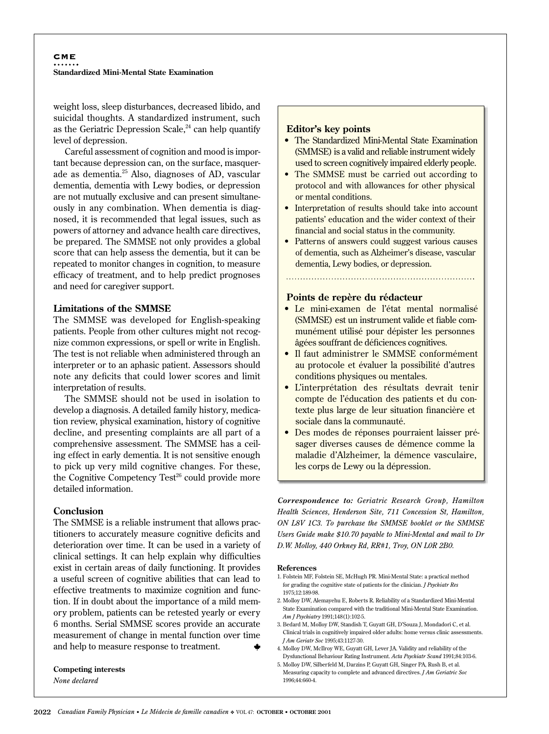#### **CME** . . . . . . . **Standardized Mini-Mental State Examination**

weight loss, sleep disturbances, decreased libido, and suicidal thoughts. A standardized instrument, such as the Geriatric Depression Scale, $24$  can help quantify level of depression.

Careful assessment of cognition and mood is important because depression can, on the surface, masquerade as dementia.25 Also, diagnoses of AD, vascular dementia, dementia with Lewy bodies, or depression are not mutually exclusive and can present simultaneously in any combination. When dementia is diagnosed, it is recommended that legal issues, such as powers of attorney and advance health care directives, be prepared. The SMMSE not only provides a global score that can help assess the dementia, but it can be repeated to monitor changes in cognition, to measure efficacy of treatment, and to help predict prognoses and need for caregiver support.

### **Limitations of the SMMSE**

The SMMSE was developed for English-speaking patients. People from other cultures might not recognize common expressions, or spell or write in English. The test is not reliable when administered through an interpreter or to an aphasic patient. Assessors should note any deficits that could lower scores and limit interpretation of results.

The SMMSE should not be used in isolation to develop a diagnosis. A detailed family history, medication review, physical examination, history of cognitive decline, and presenting complaints are all part of a comprehensive assessment. The SMMSE has a ceiling effect in early dementia. It is not sensitive enough to pick up very mild cognitive changes. For these, the Cognitive Competency Test<sup>26</sup> could provide more detailed information.

### **Conclusion**

The SMMSE is a reliable instrument that allows practitioners to accurately measure cognitive deficits and deterioration over time. It can be used in a variety of clinical settings. It can help explain why difficulties exist in certain areas of daily functioning. It provides a useful screen of cognitive abilities that can lead to effective treatments to maximize cognition and function. If in doubt about the importance of a mild memory problem, patients can be retested yearly or every 6 months. Serial SMMSE scores provide an accurate measurement of change in mental function over time and help to measure response to treatment.

#### **Competing interests** *None declared*

### **Editor's key points**

- The Standardized Mini-Mental State Examination (SMMSE) is a valid and reliable instrument widely used to screen cognitively impaired elderly people.
- The SMMSE must be carried out according to protocol and with allowances for other physical or mental conditions.
- Interpretation of results should take into account patients' education and the wider context of their financial and social status in the community.
- Patterns of answers could suggest various causes of dementia, such as Alzheimer's disease, vascular dementia, Lewy bodies, or depression.

## **Points de repère du rédacteur**

- Le mini-examen de l'état mental normalisé (SMMSE) est un instrument valide et fiable communément utilisé pour dépister les personnes âgées souffrant de déficiences cognitives.
- Il faut administrer le SMMSE conformément au protocole et évaluer la possibilité d'autres conditions physiques ou mentales.
- L'interprétation des résultats devrait tenir compte de l'éducation des patients et du contexte plus large de leur situation financière et sociale dans la communauté.
- Des modes de réponses pourraient laisser présager diverses causes de démence comme la maladie d'Alzheimer, la démence vasculaire, les corps de Lewy ou la dépression.

*Correspondence to: Geriatric Research Group, Hamilton Health Sciences, Henderson Site, 711 Concession St, Hamilton, ON L8V 1C3. To purchase the SMMSE booklet or the SMMSE Users Guide make \$10.70 payable to Mini-Mental and mail to Dr D.W. Molloy, 440 Orkney Rd, RR#1, Troy, ON L0R 2B0.*

#### **References**

- 1. Folstein MF, Folstein SE, McHugh PR. Mini-Mental State: a practical method for grading the cognitive state of patients for the clinician. *J Psychiatr Res* 1975;12:189-98.
- 2. Molloy DW, Alemayehu E, Roberts R. Reliability of a Standardized Mini-Mental State Examination compared with the traditional Mini-Mental State Examination. *Am J Psychiatry* 1991;148(1):102-5.
- 3. Bedard M, Molloy DW, Standish T, Guyatt GH, D'Souza J, Mondadori C, et al. Clinical trials in cognitively impaired older adults: home versus clinic assessments. *J Am Geriatr Soc* 1995;43:1127-30.
- 4. Molloy DW, McIlroy WE, Guyatt GH, Lever JA. Validity and reliability of the Dysfunctional Behaviour Rating Instrument. *Acta Psychiatr Scand* 1991;84:103-6.
- 5. Molloy DW, Silberfeld M, Darzins P, Guyatt GH, Singer PA, Rush B, et al. Measuring capacity to complete and advanced directives. *J Am Geriatric Soc* 1996;44:660-4.